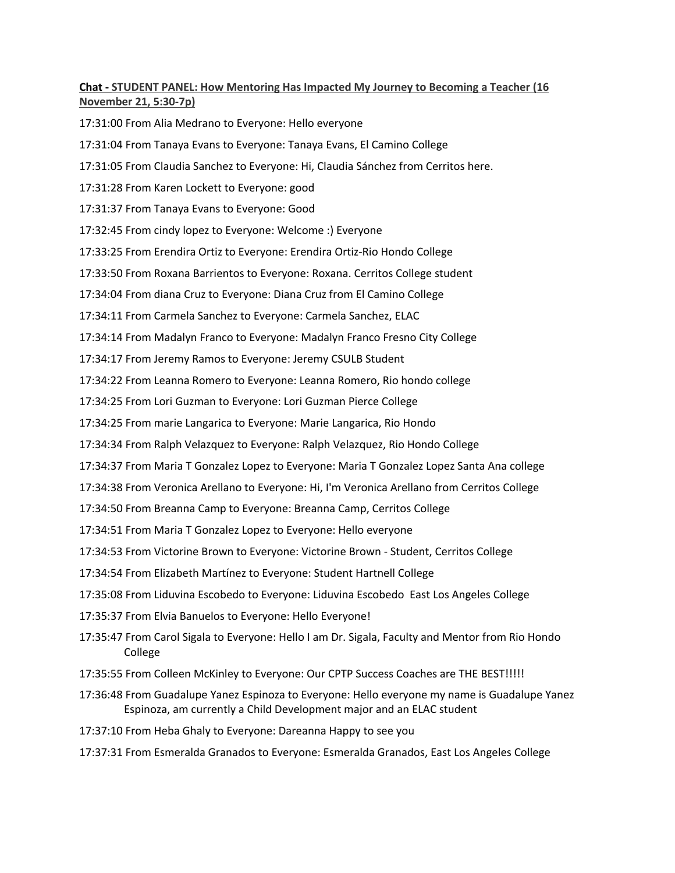## **Chat - STUDENT PANEL: How Mentoring Has Impacted My Journey to Becoming a Teacher (16 November 21, 5:30-7p)**

17:31:00 From Alia Medrano to Everyone: Hello everyone

17:31:04 From Tanaya Evans to Everyone: Tanaya Evans, El Camino College

17:31:05 From Claudia Sanchez to Everyone: Hi, Claudia Sánchez from Cerritos here.

17:31:28 From Karen Lockett to Everyone: good

17:31:37 From Tanaya Evans to Everyone: Good

17:32:45 From cindy lopez to Everyone: Welcome :) Everyone

17:33:25 From Erendira Ortiz to Everyone: Erendira Ortiz-Rio Hondo College

17:33:50 From Roxana Barrientos to Everyone: Roxana. Cerritos College student

17:34:04 From diana Cruz to Everyone: Diana Cruz from El Camino College

17:34:11 From Carmela Sanchez to Everyone: Carmela Sanchez, ELAC

17:34:14 From Madalyn Franco to Everyone: Madalyn Franco Fresno City College

17:34:17 From Jeremy Ramos to Everyone: Jeremy CSULB Student

17:34:22 From Leanna Romero to Everyone: Leanna Romero, Rio hondo college

17:34:25 From Lori Guzman to Everyone: Lori Guzman Pierce College

17:34:25 From marie Langarica to Everyone: Marie Langarica, Rio Hondo

17:34:34 From Ralph Velazquez to Everyone: Ralph Velazquez, Rio Hondo College

17:34:37 From Maria T Gonzalez Lopez to Everyone: Maria T Gonzalez Lopez Santa Ana college

17:34:38 From Veronica Arellano to Everyone: Hi, I'm Veronica Arellano from Cerritos College

17:34:50 From Breanna Camp to Everyone: Breanna Camp, Cerritos College

17:34:51 From Maria T Gonzalez Lopez to Everyone: Hello everyone

17:34:53 From Victorine Brown to Everyone: Victorine Brown - Student, Cerritos College

17:34:54 From Elizabeth Martínez to Everyone: Student Hartnell College

17:35:08 From Liduvina Escobedo to Everyone: Liduvina Escobedo East Los Angeles College

17:35:37 From Elvia Banuelos to Everyone: Hello Everyone!

17:35:47 From Carol Sigala to Everyone: Hello I am Dr. Sigala, Faculty and Mentor from Rio Hondo College

17:35:55 From Colleen McKinley to Everyone: Our CPTP Success Coaches are THE BEST!!!!!

- 17:36:48 From Guadalupe Yanez Espinoza to Everyone: Hello everyone my name is Guadalupe Yanez Espinoza, am currently a Child Development major and an ELAC student
- 17:37:10 From Heba Ghaly to Everyone: Dareanna Happy to see you

17:37:31 From Esmeralda Granados to Everyone: Esmeralda Granados, East Los Angeles College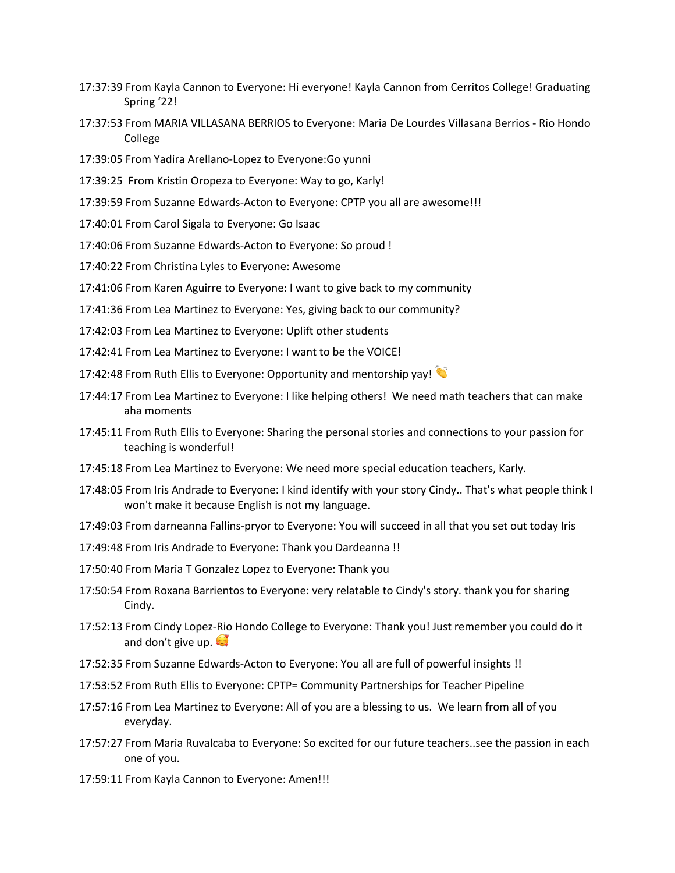- 17:37:39 From Kayla Cannon to Everyone: Hi everyone! Kayla Cannon from Cerritos College! Graduating Spring '22!
- 17:37:53 From MARIA VILLASANA BERRIOS to Everyone: Maria De Lourdes Villasana Berrios Rio Hondo College
- 17:39:05 From Yadira Arellano-Lopez to Everyone:Go yunni
- 17:39:25 From Kristin Oropeza to Everyone: Way to go, Karly!
- 17:39:59 From Suzanne Edwards-Acton to Everyone: CPTP you all are awesome!!!
- 17:40:01 From Carol Sigala to Everyone: Go Isaac
- 17:40:06 From Suzanne Edwards-Acton to Everyone: So proud !
- 17:40:22 From Christina Lyles to Everyone: Awesome
- 17:41:06 From Karen Aguirre to Everyone: I want to give back to my community
- 17:41:36 From Lea Martinez to Everyone: Yes, giving back to our community?
- 17:42:03 From Lea Martinez to Everyone: Uplift other students
- 17:42:41 From Lea Martinez to Everyone: I want to be the VOICE!
- 17:42:48 From Ruth Ellis to Everyone: Opportunity and mentorship yay!
- 17:44:17 From Lea Martinez to Everyone: I like helping others! We need math teachers that can make aha moments
- 17:45:11 From Ruth Ellis to Everyone: Sharing the personal stories and connections to your passion for teaching is wonderful!
- 17:45:18 From Lea Martinez to Everyone: We need more special education teachers, Karly.
- 17:48:05 From Iris Andrade to Everyone: I kind identify with your story Cindy.. That's what people think I won't make it because English is not my language.
- 17:49:03 From darneanna Fallins-pryor to Everyone: You will succeed in all that you set out today Iris
- 17:49:48 From Iris Andrade to Everyone: Thank you Dardeanna !!
- 17:50:40 From Maria T Gonzalez Lopez to Everyone: Thank you
- 17:50:54 From Roxana Barrientos to Everyone: very relatable to Cindy's story. thank you for sharing Cindy.
- 17:52:13 From Cindy Lopez-Rio Hondo College to Everyone: Thank you! Just remember you could do it and don't give up.
- 17:52:35 From Suzanne Edwards-Acton to Everyone: You all are full of powerful insights !!
- 17:53:52 From Ruth Ellis to Everyone: CPTP= Community Partnerships for Teacher Pipeline
- 17:57:16 From Lea Martinez to Everyone: All of you are a blessing to us. We learn from all of you everyday.
- 17:57:27 From Maria Ruvalcaba to Everyone: So excited for our future teachers..see the passion in each one of you.
- 17:59:11 From Kayla Cannon to Everyone: Amen!!!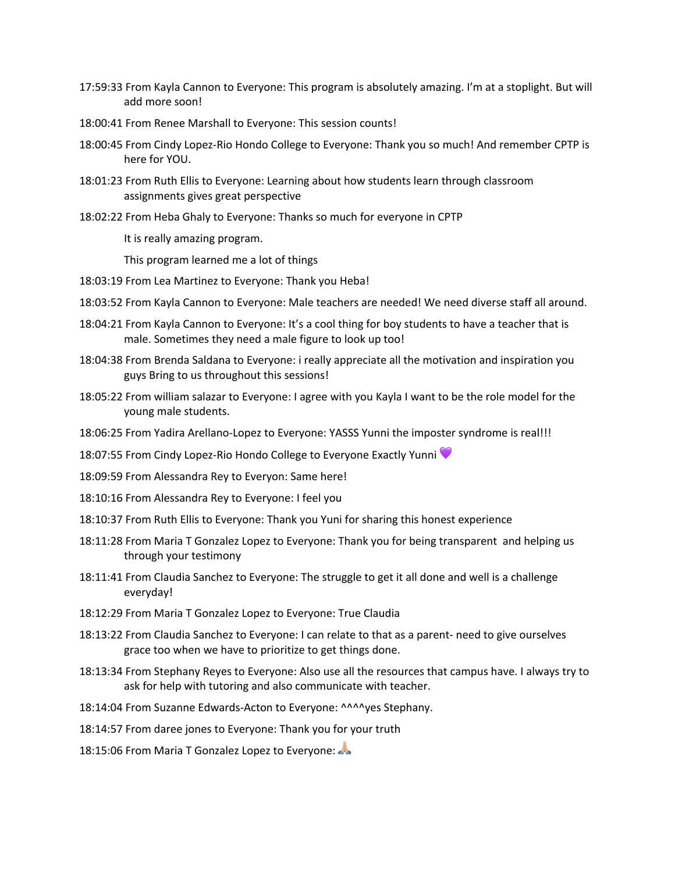- 17:59:33 From Kayla Cannon to Everyone: This program is absolutely amazing. I'm at a stoplight. But will add more soon!
- 18:00:41 From Renee Marshall to Everyone: This session counts!
- 18:00:45 From Cindy Lopez-Rio Hondo College to Everyone: Thank you so much! And remember CPTP is here for YOU.
- 18:01:23 From Ruth Ellis to Everyone: Learning about how students learn through classroom assignments gives great perspective
- 18:02:22 From Heba Ghaly to Everyone: Thanks so much for everyone in CPTP

It is really amazing program.

This program learned me a lot of things

- 18:03:19 From Lea Martinez to Everyone: Thank you Heba!
- 18:03:52 From Kayla Cannon to Everyone: Male teachers are needed! We need diverse staff all around.
- 18:04:21 From Kayla Cannon to Everyone: It's a cool thing for boy students to have a teacher that is male. Sometimes they need a male figure to look up too!
- 18:04:38 From Brenda Saldana to Everyone: i really appreciate all the motivation and inspiration you guys Bring to us throughout this sessions!
- 18:05:22 From william salazar to Everyone: I agree with you Kayla I want to be the role model for the young male students.
- 18:06:25 From Yadira Arellano-Lopez to Everyone: YASSS Yunni the imposter syndrome is real!!!
- 18:07:55 From Cindy Lopez-Rio Hondo College to Everyone Exactly Yunni
- 18:09:59 From Alessandra Rey to Everyon: Same here!
- 18:10:16 From Alessandra Rey to Everyone: I feel you
- 18:10:37 From Ruth Ellis to Everyone: Thank you Yuni for sharing this honest experience
- 18:11:28 From Maria T Gonzalez Lopez to Everyone: Thank you for being transparent and helping us through your testimony
- 18:11:41 From Claudia Sanchez to Everyone: The struggle to get it all done and well is a challenge everyday!
- 18:12:29 From Maria T Gonzalez Lopez to Everyone: True Claudia
- 18:13:22 From Claudia Sanchez to Everyone: I can relate to that as a parent- need to give ourselves grace too when we have to prioritize to get things done.
- 18:13:34 From Stephany Reyes to Everyone: Also use all the resources that campus have. I always try to ask for help with tutoring and also communicate with teacher.
- 18:14:04 From Suzanne Edwards-Acton to Everyone: ^^^^yes Stephany.
- 18:14:57 From daree jones to Everyone: Thank you for your truth
- 18:15:06 From Maria T Gonzalez Lopez to Everyone: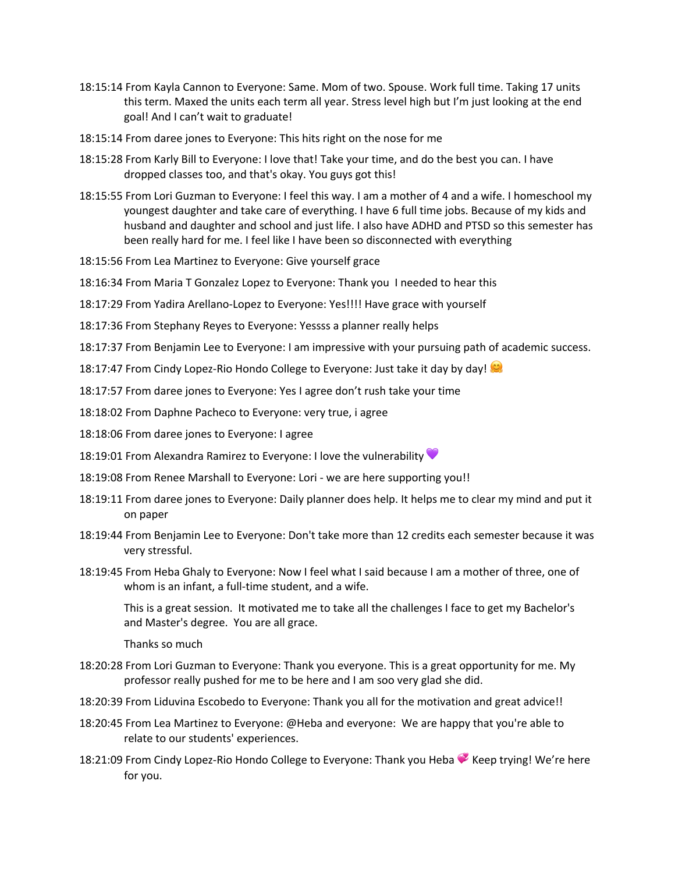- 18:15:14 From Kayla Cannon to Everyone: Same. Mom of two. Spouse. Work full time. Taking 17 units this term. Maxed the units each term all year. Stress level high but I'm just looking at the end goal! And I can't wait to graduate!
- 18:15:14 From daree jones to Everyone: This hits right on the nose for me
- 18:15:28 From Karly Bill to Everyone: I love that! Take your time, and do the best you can. I have dropped classes too, and that's okay. You guys got this!
- 18:15:55 From Lori Guzman to Everyone: I feel this way. I am a mother of 4 and a wife. I homeschool my youngest daughter and take care of everything. I have 6 full time jobs. Because of my kids and husband and daughter and school and just life. I also have ADHD and PTSD so this semester has been really hard for me. I feel like I have been so disconnected with everything
- 18:15:56 From Lea Martinez to Everyone: Give yourself grace
- 18:16:34 From Maria T Gonzalez Lopez to Everyone: Thank you I needed to hear this
- 18:17:29 From Yadira Arellano-Lopez to Everyone: Yes!!!! Have grace with yourself
- 18:17:36 From Stephany Reyes to Everyone: Yessss a planner really helps
- 18:17:37 From Benjamin Lee to Everyone: I am impressive with your pursuing path of academic success.
- 18:17:47 From Cindy Lopez-Rio Hondo College to Everyone: Just take it day by day!
- 18:17:57 From daree jones to Everyone: Yes I agree don't rush take your time
- 18:18:02 From Daphne Pacheco to Everyone: very true, i agree
- 18:18:06 From daree jones to Everyone: I agree
- 18:19:01 From Alexandra Ramirez to Everyone: I love the vulnerability
- 18:19:08 From Renee Marshall to Everyone: Lori we are here supporting you!!
- 18:19:11 From daree jones to Everyone: Daily planner does help. It helps me to clear my mind and put it on paper
- 18:19:44 From Benjamin Lee to Everyone: Don't take more than 12 credits each semester because it was very stressful.
- 18:19:45 From Heba Ghaly to Everyone: Now I feel what I said because I am a mother of three, one of whom is an infant, a full-time student, and a wife.

This is a great session. It motivated me to take all the challenges I face to get my Bachelor's and Master's degree. You are all grace.

Thanks so much

- 18:20:28 From Lori Guzman to Everyone: Thank you everyone. This is a great opportunity for me. My professor really pushed for me to be here and I am soo very glad she did.
- 18:20:39 From Liduvina Escobedo to Everyone: Thank you all for the motivation and great advice!!
- 18:20:45 From Lea Martinez to Everyone: @Heba and everyone: We are happy that you're able to relate to our students' experiences.
- 18:21:09 From Cindy Lopez-Rio Hondo College to Everyone: Thank you Heba Keep trying! We're here for you.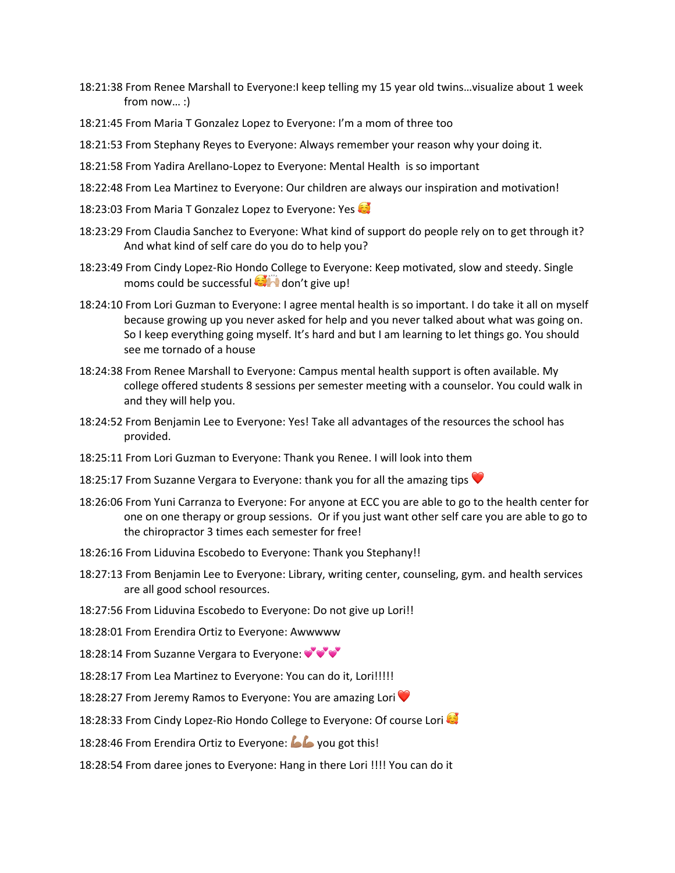- 18:21:38 From Renee Marshall to Everyone:I keep telling my 15 year old twins…visualize about 1 week from now… :)
- 18:21:45 From Maria T Gonzalez Lopez to Everyone: I'm a mom of three too
- 18:21:53 From Stephany Reyes to Everyone: Always remember your reason why your doing it.
- 18:21:58 From Yadira Arellano-Lopez to Everyone: Mental Health is so important
- 18:22:48 From Lea Martinez to Everyone: Our children are always our inspiration and motivation!
- 18:23:03 From Maria T Gonzalez Lopez to Everyone: Yes
- 18:23:29 From Claudia Sanchez to Everyone: What kind of support do people rely on to get through it? And what kind of self care do you do to help you?
- 18:23:49 From Cindy Lopez-Rio Hondo College to Everyone: Keep motivated, slow and steedy. Single moms could be successful  $\Box$  don't give up!
- 18:24:10 From Lori Guzman to Everyone: I agree mental health is so important. I do take it all on myself because growing up you never asked for help and you never talked about what was going on. So I keep everything going myself. It's hard and but I am learning to let things go. You should see me tornado of a house
- 18:24:38 From Renee Marshall to Everyone: Campus mental health support is often available. My college offered students 8 sessions per semester meeting with a counselor. You could walk in and they will help you.
- 18:24:52 From Benjamin Lee to Everyone: Yes! Take all advantages of the resources the school has provided.
- 18:25:11 From Lori Guzman to Everyone: Thank you Renee. I will look into them
- 18:25:17 From Suzanne Vergara to Everyone: thank you for all the amazing tips  $\blacktriangledown$
- 18:26:06 From Yuni Carranza to Everyone: For anyone at ECC you are able to go to the health center for one on one therapy or group sessions. Or if you just want other self care you are able to go to the chiropractor 3 times each semester for free!
- 18:26:16 From Liduvina Escobedo to Everyone: Thank you Stephany!!
- 18:27:13 From Benjamin Lee to Everyone: Library, writing center, counseling, gym. and health services are all good school resources.
- 18:27:56 From Liduvina Escobedo to Everyone: Do not give up Lori!!
- 18:28:01 From Erendira Ortiz to Everyone: Awwwww
- 18:28:14 From Suzanne Vergara to Everyone:  $\mathbf{v}^{\prime}\mathbf{v}^{\prime}$
- 18:28:17 From Lea Martinez to Everyone: You can do it, Lori!!!!!
- 18:28:27 From Jeremy Ramos to Everyone: You are amazing Lori
- 18:28:33 From Cindy Lopez-Rio Hondo College to Everyone: Of course Lori
- 18:28:46 From Erendira Ortiz to Everyone: **6 G** you got this!
- 18:28:54 From daree jones to Everyone: Hang in there Lori !!!! You can do it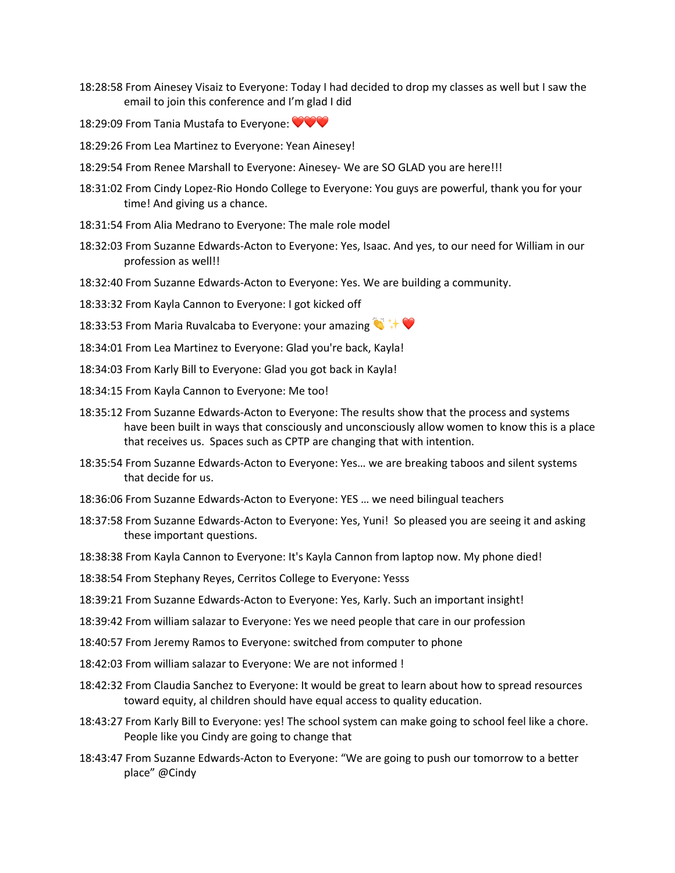- 18:28:58 From Ainesey Visaiz to Everyone: Today I had decided to drop my classes as well but I saw the email to join this conference and I'm glad I did
- 18:29:09 From Tania Mustafa to Everyone:  $\blacktriangledown\blacktriangledown\blacktriangledown$
- 18:29:26 From Lea Martinez to Everyone: Yean Ainesey!
- 18:29:54 From Renee Marshall to Everyone: Ainesey- We are SO GLAD you are here!!!
- 18:31:02 From Cindy Lopez-Rio Hondo College to Everyone: You guys are powerful, thank you for your time! And giving us a chance.
- 18:31:54 From Alia Medrano to Everyone: The male role model
- 18:32:03 From Suzanne Edwards-Acton to Everyone: Yes, Isaac. And yes, to our need for William in our profession as well!!
- 18:32:40 From Suzanne Edwards-Acton to Everyone: Yes. We are building a community.
- 18:33:32 From Kayla Cannon to Everyone: I got kicked off
- 18:33:53 From Maria Ruvalcaba to Everyone: your amazing
- 18:34:01 From Lea Martinez to Everyone: Glad you're back, Kayla!
- 18:34:03 From Karly Bill to Everyone: Glad you got back in Kayla!
- 18:34:15 From Kayla Cannon to Everyone: Me too!
- 18:35:12 From Suzanne Edwards-Acton to Everyone: The results show that the process and systems have been built in ways that consciously and unconsciously allow women to know this is a place that receives us. Spaces such as CPTP are changing that with intention.
- 18:35:54 From Suzanne Edwards-Acton to Everyone: Yes… we are breaking taboos and silent systems that decide for us.
- 18:36:06 From Suzanne Edwards-Acton to Everyone: YES … we need bilingual teachers
- 18:37:58 From Suzanne Edwards-Acton to Everyone: Yes, Yuni! So pleased you are seeing it and asking these important questions.
- 18:38:38 From Kayla Cannon to Everyone: It's Kayla Cannon from laptop now. My phone died!
- 18:38:54 From Stephany Reyes, Cerritos College to Everyone: Yesss
- 18:39:21 From Suzanne Edwards-Acton to Everyone: Yes, Karly. Such an important insight!
- 18:39:42 From william salazar to Everyone: Yes we need people that care in our profession
- 18:40:57 From Jeremy Ramos to Everyone: switched from computer to phone
- 18:42:03 From william salazar to Everyone: We are not informed !
- 18:42:32 From Claudia Sanchez to Everyone: It would be great to learn about how to spread resources toward equity, al children should have equal access to quality education.
- 18:43:27 From Karly Bill to Everyone: yes! The school system can make going to school feel like a chore. People like you Cindy are going to change that
- 18:43:47 From Suzanne Edwards-Acton to Everyone: "We are going to push our tomorrow to a better place" @Cindy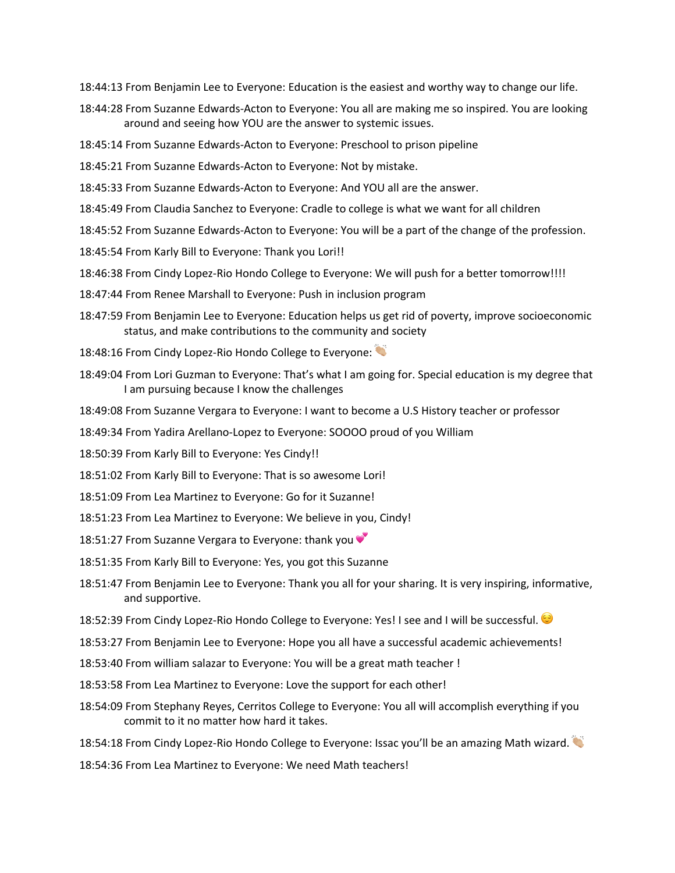18:44:13 From Benjamin Lee to Everyone: Education is the easiest and worthy way to change our life.

- 18:44:28 From Suzanne Edwards-Acton to Everyone: You all are making me so inspired. You are looking around and seeing how YOU are the answer to systemic issues.
- 18:45:14 From Suzanne Edwards-Acton to Everyone: Preschool to prison pipeline
- 18:45:21 From Suzanne Edwards-Acton to Everyone: Not by mistake.
- 18:45:33 From Suzanne Edwards-Acton to Everyone: And YOU all are the answer.
- 18:45:49 From Claudia Sanchez to Everyone: Cradle to college is what we want for all children
- 18:45:52 From Suzanne Edwards-Acton to Everyone: You will be a part of the change of the profession.
- 18:45:54 From Karly Bill to Everyone: Thank you Lori!!
- 18:46:38 From Cindy Lopez-Rio Hondo College to Everyone: We will push for a better tomorrow!!!!
- 18:47:44 From Renee Marshall to Everyone: Push in inclusion program
- 18:47:59 From Benjamin Lee to Everyone: Education helps us get rid of poverty, improve socioeconomic status, and make contributions to the community and society
- 18:48:16 From Cindy Lopez-Rio Hondo College to Everyone:
- 18:49:04 From Lori Guzman to Everyone: That's what I am going for. Special education is my degree that I am pursuing because I know the challenges
- 18:49:08 From Suzanne Vergara to Everyone: I want to become a U.S History teacher or professor
- 18:49:34 From Yadira Arellano-Lopez to Everyone: SOOOO proud of you William
- 18:50:39 From Karly Bill to Everyone: Yes Cindy!!
- 18:51:02 From Karly Bill to Everyone: That is so awesome Lori!
- 18:51:09 From Lea Martinez to Everyone: Go for it Suzanne!
- 18:51:23 From Lea Martinez to Everyone: We believe in you, Cindy!
- 18:51:27 From Suzanne Vergara to Everyone: thank you
- 18:51:35 From Karly Bill to Everyone: Yes, you got this Suzanne
- 18:51:47 From Benjamin Lee to Everyone: Thank you all for your sharing. It is very inspiring, informative, and supportive.
- 18:52:39 From Cindy Lopez-Rio Hondo College to Everyone: Yes! I see and I will be successful.
- 18:53:27 From Benjamin Lee to Everyone: Hope you all have a successful academic achievements!
- 18:53:40 From william salazar to Everyone: You will be a great math teacher !
- 18:53:58 From Lea Martinez to Everyone: Love the support for each other!
- 18:54:09 From Stephany Reyes, Cerritos College to Everyone: You all will accomplish everything if you commit to it no matter how hard it takes.
- 18:54:18 From Cindy Lopez-Rio Hondo College to Everyone: Issac you'll be an amazing Math wizard.
- 18:54:36 From Lea Martinez to Everyone: We need Math teachers!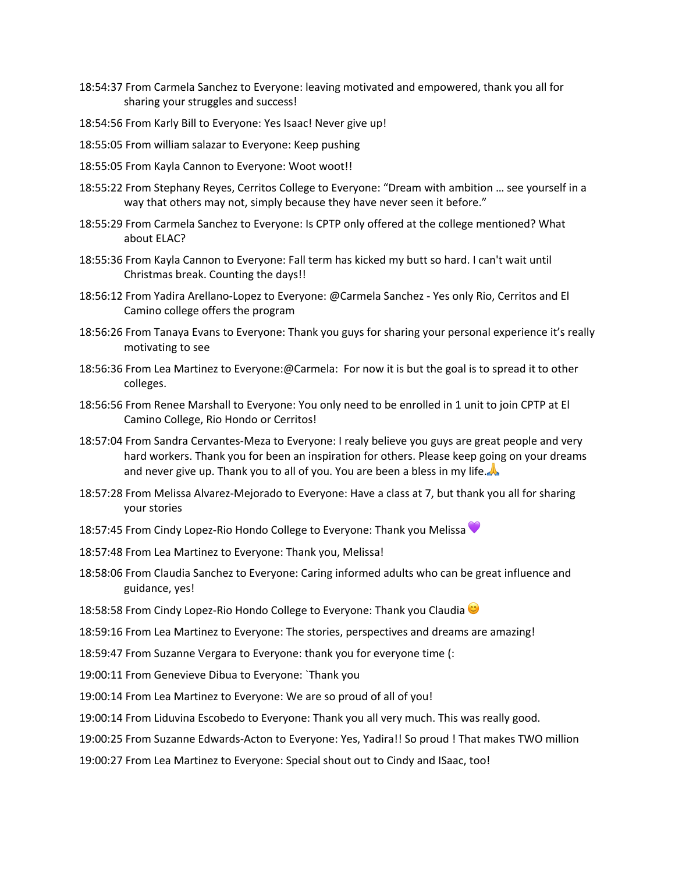- 18:54:37 From Carmela Sanchez to Everyone: leaving motivated and empowered, thank you all for sharing your struggles and success!
- 18:54:56 From Karly Bill to Everyone: Yes Isaac! Never give up!
- 18:55:05 From william salazar to Everyone: Keep pushing
- 18:55:05 From Kayla Cannon to Everyone: Woot woot!!
- 18:55:22 From Stephany Reyes, Cerritos College to Everyone: "Dream with ambition … see yourself in a way that others may not, simply because they have never seen it before."
- 18:55:29 From Carmela Sanchez to Everyone: Is CPTP only offered at the college mentioned? What about ELAC?
- 18:55:36 From Kayla Cannon to Everyone: Fall term has kicked my butt so hard. I can't wait until Christmas break. Counting the days!!
- 18:56:12 From Yadira Arellano-Lopez to Everyone: @Carmela Sanchez Yes only Rio, Cerritos and El Camino college offers the program
- 18:56:26 From Tanaya Evans to Everyone: Thank you guys for sharing your personal experience it's really motivating to see
- 18:56:36 From Lea Martinez to Everyone:@Carmela: For now it is but the goal is to spread it to other colleges.
- 18:56:56 From Renee Marshall to Everyone: You only need to be enrolled in 1 unit to join CPTP at El Camino College, Rio Hondo or Cerritos!
- 18:57:04 From Sandra Cervantes-Meza to Everyone: I realy believe you guys are great people and very hard workers. Thank you for been an inspiration for others. Please keep going on your dreams and never give up. Thank you to all of you. You are been a bless in my life.
- 18:57:28 From Melissa Alvarez-Mejorado to Everyone: Have a class at 7, but thank you all for sharing your stories
- 18:57:45 From Cindy Lopez-Rio Hondo College to Everyone: Thank you Melissa
- 18:57:48 From Lea Martinez to Everyone: Thank you, Melissa!
- 18:58:06 From Claudia Sanchez to Everyone: Caring informed adults who can be great influence and guidance, yes!
- 18:58:58 From Cindy Lopez-Rio Hondo College to Everyone: Thank you Claudia  $\bullet$
- 18:59:16 From Lea Martinez to Everyone: The stories, perspectives and dreams are amazing!
- 18:59:47 From Suzanne Vergara to Everyone: thank you for everyone time (:
- 19:00:11 From Genevieve Dibua to Everyone: `Thank you
- 19:00:14 From Lea Martinez to Everyone: We are so proud of all of you!
- 19:00:14 From Liduvina Escobedo to Everyone: Thank you all very much. This was really good.
- 19:00:25 From Suzanne Edwards-Acton to Everyone: Yes, Yadira!! So proud ! That makes TWO million
- 19:00:27 From Lea Martinez to Everyone: Special shout out to Cindy and ISaac, too!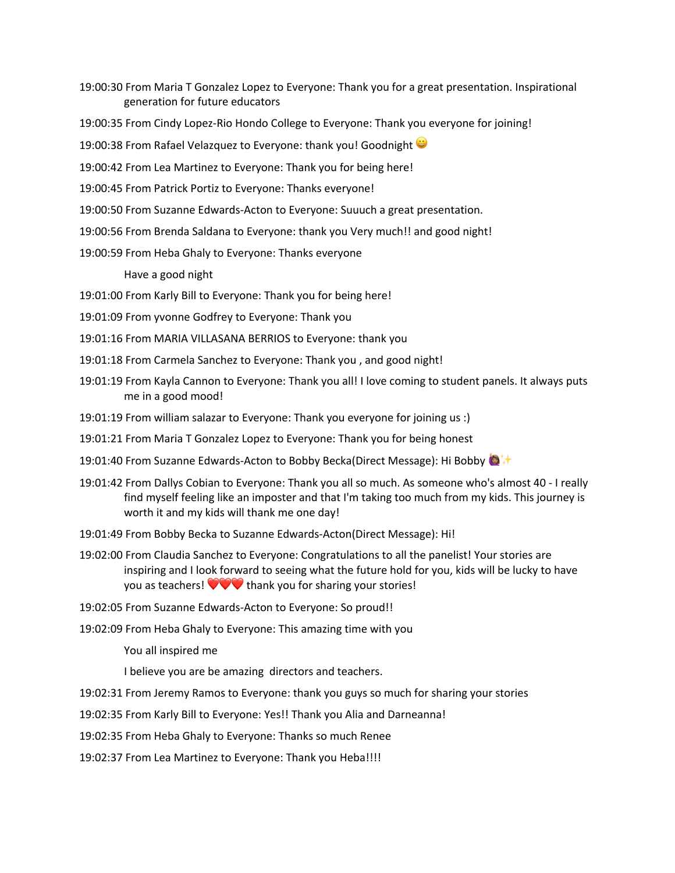19:00:30 From Maria T Gonzalez Lopez to Everyone: Thank you for a great presentation. Inspirational generation for future educators

19:00:35 From Cindy Lopez-Rio Hondo College to Everyone: Thank you everyone for joining!

19:00:38 From Rafael Velazquez to Everyone: thank you! Goodnight

19:00:42 From Lea Martinez to Everyone: Thank you for being here!

19:00:45 From Patrick Portiz to Everyone: Thanks everyone!

19:00:50 From Suzanne Edwards-Acton to Everyone: Suuuch a great presentation.

19:00:56 From Brenda Saldana to Everyone: thank you Very much!! and good night!

19:00:59 From Heba Ghaly to Everyone: Thanks everyone

Have a good night

19:01:00 From Karly Bill to Everyone: Thank you for being here!

19:01:09 From yvonne Godfrey to Everyone: Thank you

19:01:16 From MARIA VILLASANA BERRIOS to Everyone: thank you

- 19:01:18 From Carmela Sanchez to Everyone: Thank you , and good night!
- 19:01:19 From Kayla Cannon to Everyone: Thank you all! I love coming to student panels. It always puts me in a good mood!
- 19:01:19 From william salazar to Everyone: Thank you everyone for joining us :)
- 19:01:21 From Maria T Gonzalez Lopez to Everyone: Thank you for being honest
- 19:01:40 From Suzanne Edwards-Acton to Bobby Becka(Direct Message): Hi Bobby ♦
- 19:01:42 From Dallys Cobian to Everyone: Thank you all so much. As someone who's almost 40 I really find myself feeling like an imposter and that I'm taking too much from my kids. This journey is worth it and my kids will thank me one day!
- 19:01:49 From Bobby Becka to Suzanne Edwards-Acton(Direct Message): Hi!
- 19:02:00 From Claudia Sanchez to Everyone: Congratulations to all the panelist! Your stories are inspiring and I look forward to seeing what the future hold for you, kids will be lucky to have you as teachers!  $\blacktriangledown \blacktriangledown \blacktriangledown$  thank you for sharing your stories!
- 19:02:05 From Suzanne Edwards-Acton to Everyone: So proud!!

19:02:09 From Heba Ghaly to Everyone: This amazing time with you

You all inspired me

I believe you are be amazing directors and teachers.

19:02:31 From Jeremy Ramos to Everyone: thank you guys so much for sharing your stories

19:02:35 From Karly Bill to Everyone: Yes!! Thank you Alia and Darneanna!

19:02:35 From Heba Ghaly to Everyone: Thanks so much Renee

19:02:37 From Lea Martinez to Everyone: Thank you Heba!!!!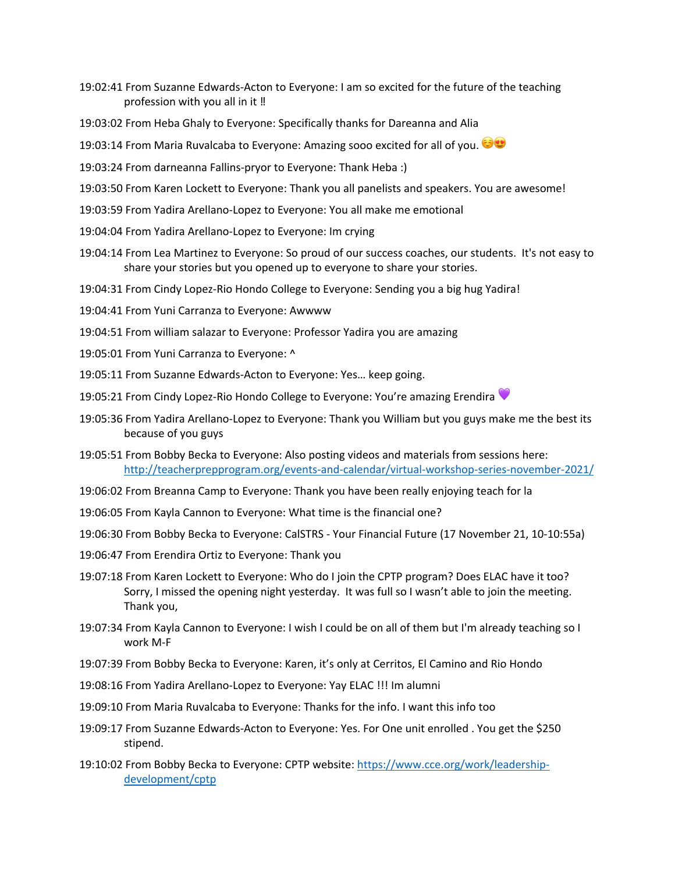- 19:02:41 From Suzanne Edwards-Acton to Everyone: I am so excited for the future of the teaching profession with you all in it ‼
- 19:03:02 From Heba Ghaly to Everyone: Specifically thanks for Dareanna and Alia
- 19:03:14 From Maria Ruvalcaba to Everyone: Amazing sooo excited for all of you.
- 19:03:24 From darneanna Fallins-pryor to Everyone: Thank Heba :)
- 19:03:50 From Karen Lockett to Everyone: Thank you all panelists and speakers. You are awesome!
- 19:03:59 From Yadira Arellano-Lopez to Everyone: You all make me emotional
- 19:04:04 From Yadira Arellano-Lopez to Everyone: Im crying
- 19:04:14 From Lea Martinez to Everyone: So proud of our success coaches, our students. It's not easy to share your stories but you opened up to everyone to share your stories.
- 19:04:31 From Cindy Lopez-Rio Hondo College to Everyone: Sending you a big hug Yadira!
- 19:04:41 From Yuni Carranza to Everyone: Awwww
- 19:04:51 From william salazar to Everyone: Professor Yadira you are amazing
- 19:05:01 From Yuni Carranza to Everyone: ^
- 19:05:11 From Suzanne Edwards-Acton to Everyone: Yes… keep going.
- 19:05:21 From Cindy Lopez-Rio Hondo College to Everyone: You're amazing Erendira
- 19:05:36 From Yadira Arellano-Lopez to Everyone: Thank you William but you guys make me the best its because of you guys
- 19:05:51 From Bobby Becka to Everyone: Also posting videos and materials from sessions here: http://teacherprepprogram.org/events-and-calendar/virtual-workshop-series-november-2021/
- 19:06:02 From Breanna Camp to Everyone: Thank you have been really enjoying teach for la
- 19:06:05 From Kayla Cannon to Everyone: What time is the financial one?
- 19:06:30 From Bobby Becka to Everyone: CalSTRS Your Financial Future (17 November 21, 10-10:55a)
- 19:06:47 From Erendira Ortiz to Everyone: Thank you
- 19:07:18 From Karen Lockett to Everyone: Who do I join the CPTP program? Does ELAC have it too? Sorry, I missed the opening night yesterday. It was full so I wasn't able to join the meeting. Thank you,
- 19:07:34 From Kayla Cannon to Everyone: I wish I could be on all of them but I'm already teaching so I work M-F
- 19:07:39 From Bobby Becka to Everyone: Karen, it's only at Cerritos, El Camino and Rio Hondo
- 19:08:16 From Yadira Arellano-Lopez to Everyone: Yay ELAC !!! Im alumni
- 19:09:10 From Maria Ruvalcaba to Everyone: Thanks for the info. I want this info too
- 19:09:17 From Suzanne Edwards-Acton to Everyone: Yes. For One unit enrolled . You get the \$250 stipend.
- 19:10:02 From Bobby Becka to Everyone: CPTP website: https://www.cce.org/work/leadershipdevelopment/cptp